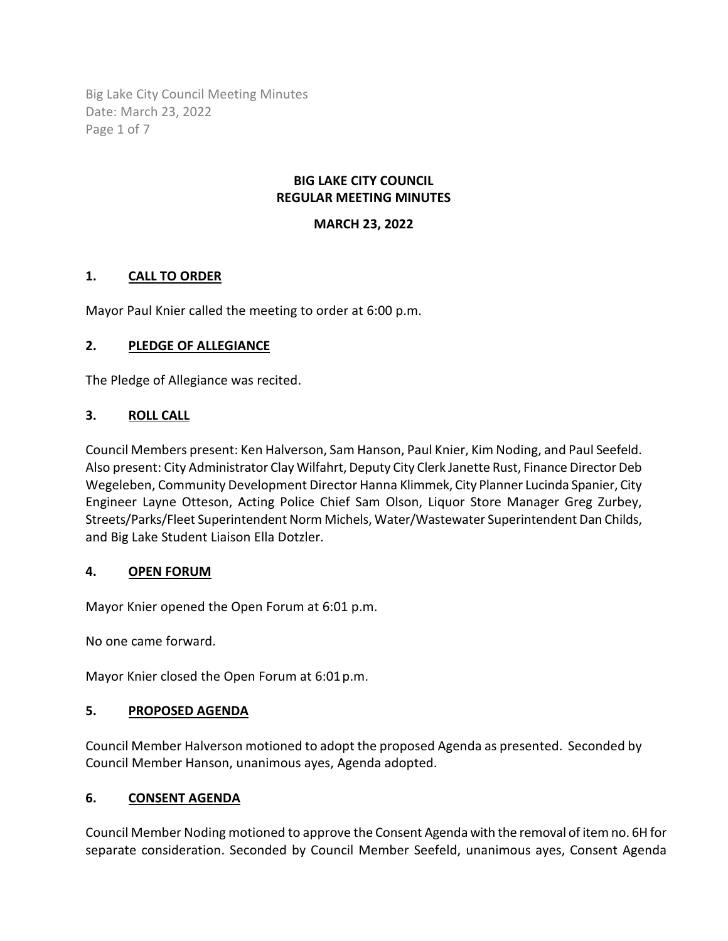Big Lake City Council Meeting Minutes Date: March 23, 2022 Page 1 of 7

### **BIG LAKE CITY COUNCIL REGULAR MEETING MINUTES**

## **MARCH 23, 2022**

## **1. CALL TO ORDER**

Mayor Paul Knier called the meeting to order at 6:00 p.m.

### **2. PLEDGE OF ALLEGIANCE**

The Pledge of Allegiance was recited.

### **3. ROLL CALL**

Council Members present: Ken Halverson, Sam Hanson, Paul Knier, Kim Noding, and Paul Seefeld. Also present: City Administrator Clay Wilfahrt, Deputy City Clerk Janette Rust, Finance Director Deb Wegeleben, Community Development Director Hanna Klimmek, City Planner Lucinda Spanier, City Engineer Layne Otteson, Acting Police Chief Sam Olson, Liquor Store Manager Greg Zurbey, Streets/Parks/Fleet Superintendent Norm Michels, Water/Wastewater Superintendent Dan Childs, and Big Lake Student Liaison Ella Dotzler.

### **4. OPEN FORUM**

Mayor Knier opened the Open Forum at 6:01 p.m.

No one came forward.

Mayor Knier closed the Open Forum at 6:01p.m.

### **5. PROPOSED AGENDA**

Council Member Halverson motioned to adopt the proposed Agenda as presented. Seconded by Council Member Hanson, unanimous ayes, Agenda adopted.

### **6. CONSENT AGENDA**

Council Member Noding motioned to approve the Consent Agenda with the removal of item no. 6H for separate consideration. Seconded by Council Member Seefeld, unanimous ayes, Consent Agenda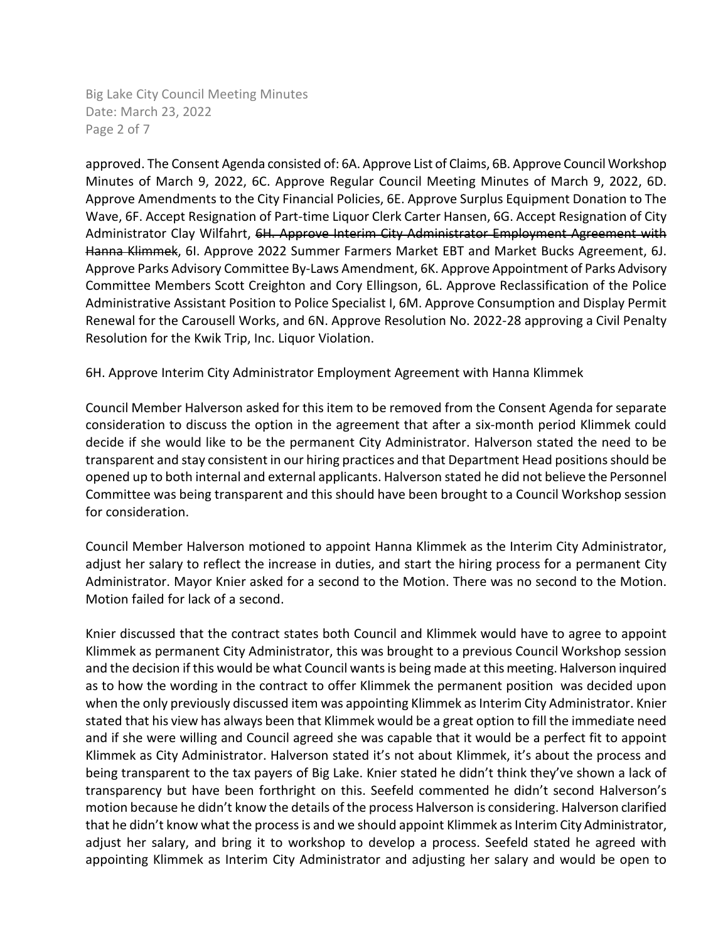Big Lake City Council Meeting Minutes Date: March 23, 2022 Page 2 of 7

approved. The Consent Agenda consisted of: 6A. Approve List of Claims, 6B. Approve Council Workshop Minutes of March 9, 2022, 6C. Approve Regular Council Meeting Minutes of March 9, 2022, 6D. Approve Amendments to the City Financial Policies, 6E. Approve Surplus Equipment Donation to The Wave, 6F. Accept Resignation of Part-time Liquor Clerk Carter Hansen, 6G. Accept Resignation of City Administrator Clay Wilfahrt, 6H. Approve Interim City Administrator Employment Agreement with Hanna Klimmek, 6I. Approve 2022 Summer Farmers Market EBT and Market Bucks Agreement, 6J. Approve Parks Advisory Committee By-Laws Amendment, 6K. Approve Appointment of Parks Advisory Committee Members Scott Creighton and Cory Ellingson, 6L. Approve Reclassification of the Police Administrative Assistant Position to Police Specialist I, 6M. Approve Consumption and Display Permit Renewal for the Carousell Works, and 6N. Approve Resolution No. 2022-28 approving a Civil Penalty Resolution for the Kwik Trip, Inc. Liquor Violation.

6H. Approve Interim City Administrator Employment Agreement with Hanna Klimmek

Council Member Halverson asked for this item to be removed from the Consent Agenda for separate consideration to discuss the option in the agreement that after a six-month period Klimmek could decide if she would like to be the permanent City Administrator. Halverson stated the need to be transparent and stay consistent in our hiring practices and that Department Head positionsshould be opened up to both internal and external applicants. Halverson stated he did not believe the Personnel Committee was being transparent and this should have been brought to a Council Workshop session for consideration.

Council Member Halverson motioned to appoint Hanna Klimmek as the Interim City Administrator, adjust her salary to reflect the increase in duties, and start the hiring process for a permanent City Administrator. Mayor Knier asked for a second to the Motion. There was no second to the Motion. Motion failed for lack of a second.

Knier discussed that the contract states both Council and Klimmek would have to agree to appoint Klimmek as permanent City Administrator, this was brought to a previous Council Workshop session and the decision if this would be what Council wantsis being made at this meeting. Halverson inquired as to how the wording in the contract to offer Klimmek the permanent position was decided upon when the only previously discussed item was appointing Klimmek as Interim City Administrator. Knier stated that his view has always been that Klimmek would be a great option to fill the immediate need and if she were willing and Council agreed she was capable that it would be a perfect fit to appoint Klimmek as City Administrator. Halverson stated it's not about Klimmek, it's about the process and being transparent to the tax payers of Big Lake. Knier stated he didn't think they've shown a lack of transparency but have been forthright on this. Seefeld commented he didn't second Halverson's motion because he didn't know the details of the process Halverson is considering. Halverson clarified that he didn't know what the process is and we should appoint Klimmek as Interim City Administrator, adjust her salary, and bring it to workshop to develop a process. Seefeld stated he agreed with appointing Klimmek as Interim City Administrator and adjusting her salary and would be open to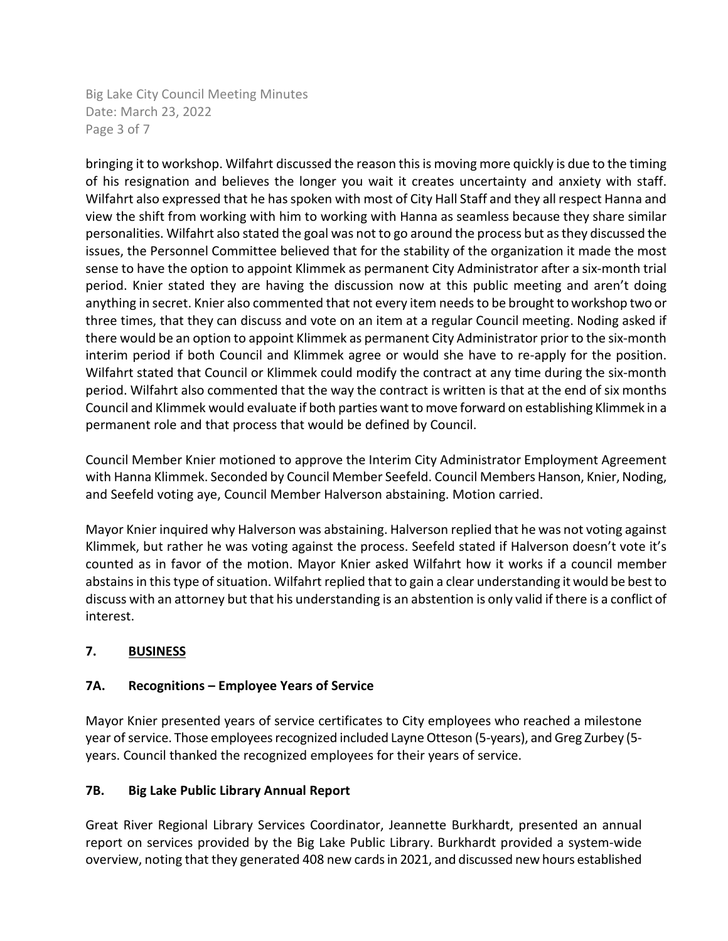Big Lake City Council Meeting Minutes Date: March 23, 2022 Page 3 of 7

bringing it to workshop. Wilfahrt discussed the reason this is moving more quickly is due to the timing of his resignation and believes the longer you wait it creates uncertainty and anxiety with staff. Wilfahrt also expressed that he has spoken with most of City Hall Staff and they all respect Hanna and view the shift from working with him to working with Hanna as seamless because they share similar personalities. Wilfahrt also stated the goal was not to go around the process but as they discussed the issues, the Personnel Committee believed that for the stability of the organization it made the most sense to have the option to appoint Klimmek as permanent City Administrator after a six-month trial period. Knier stated they are having the discussion now at this public meeting and aren't doing anything in secret. Knier also commented that not every item needs to be brought to workshop two or three times, that they can discuss and vote on an item at a regular Council meeting. Noding asked if there would be an option to appoint Klimmek as permanent City Administrator prior to the six-month interim period if both Council and Klimmek agree or would she have to re-apply for the position. Wilfahrt stated that Council or Klimmek could modify the contract at any time during the six-month period. Wilfahrt also commented that the way the contract is written is that at the end of six months Council and Klimmek would evaluate if both parties want to move forward on establishing Klimmek in a permanent role and that process that would be defined by Council.

Council Member Knier motioned to approve the Interim City Administrator Employment Agreement with Hanna Klimmek. Seconded by Council Member Seefeld. Council Members Hanson, Knier, Noding, and Seefeld voting aye, Council Member Halverson abstaining. Motion carried.

Mayor Knier inquired why Halverson was abstaining. Halverson replied that he was not voting against Klimmek, but rather he was voting against the process. Seefeld stated if Halverson doesn't vote it's counted as in favor of the motion. Mayor Knier asked Wilfahrt how it works if a council member abstains in this type of situation. Wilfahrt replied that to gain a clear understanding it would be best to discuss with an attorney but that his understanding is an abstention is only valid if there is a conflict of interest.

# **7. BUSINESS**

# **7A. Recognitions – Employee Years of Service**

Mayor Knier presented years of service certificates to City employees who reached a milestone year of service. Those employees recognized included Layne Otteson (5-years), and Greg Zurbey (5 years. Council thanked the recognized employees for their years of service.

## **7B. Big Lake Public Library Annual Report**

Great River Regional Library Services Coordinator, Jeannette Burkhardt, presented an annual report on services provided by the Big Lake Public Library. Burkhardt provided a system-wide overview, noting that they generated 408 new cards in 2021, and discussed new hours established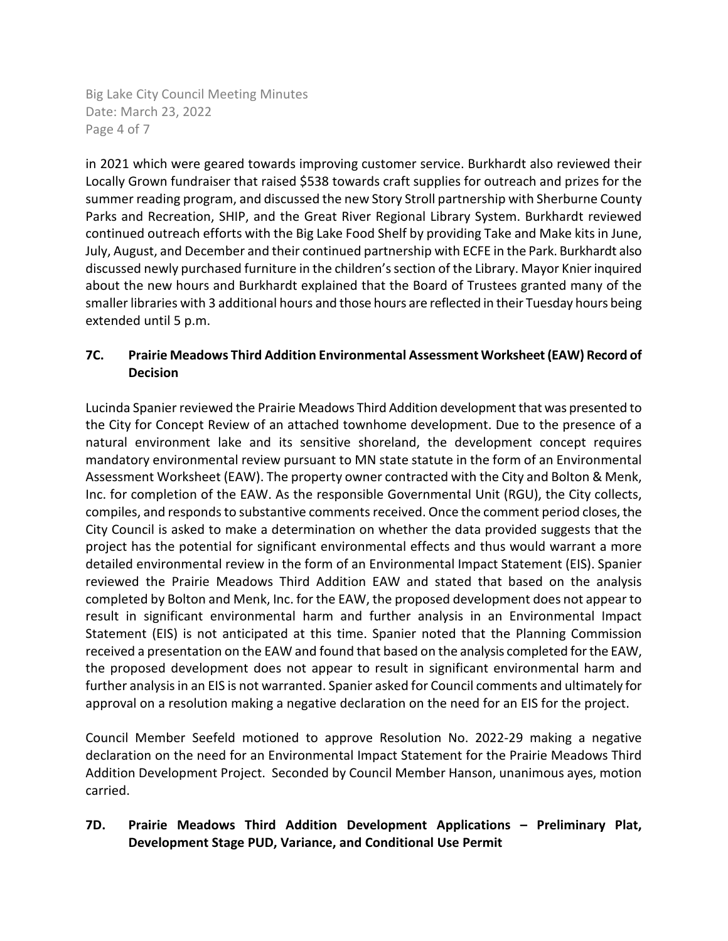Big Lake City Council Meeting Minutes Date: March 23, 2022 Page 4 of 7

in 2021 which were geared towards improving customer service. Burkhardt also reviewed their Locally Grown fundraiser that raised \$538 towards craft supplies for outreach and prizes for the summer reading program, and discussed the new Story Stroll partnership with Sherburne County Parks and Recreation, SHIP, and the Great River Regional Library System. Burkhardt reviewed continued outreach efforts with the Big Lake Food Shelf by providing Take and Make kits in June, July, August, and December and their continued partnership with ECFE in the Park. Burkhardt also discussed newly purchased furniture in the children's section of the Library. Mayor Knier inquired about the new hours and Burkhardt explained that the Board of Trustees granted many of the smaller libraries with 3 additional hours and those hours are reflected in their Tuesday hours being extended until 5 p.m.

# **7C. Prairie Meadows Third Addition Environmental Assessment Worksheet (EAW) Record of Decision**

Lucinda Spanier reviewed the Prairie Meadows Third Addition development that was presented to the City for Concept Review of an attached townhome development. Due to the presence of a natural environment lake and its sensitive shoreland, the development concept requires mandatory environmental review pursuant to MN state statute in the form of an Environmental Assessment Worksheet (EAW). The property owner contracted with the City and Bolton & Menk, Inc. for completion of the EAW. As the responsible Governmental Unit (RGU), the City collects, compiles, and responds to substantive comments received. Once the comment period closes, the City Council is asked to make a determination on whether the data provided suggests that the project has the potential for significant environmental effects and thus would warrant a more detailed environmental review in the form of an Environmental Impact Statement (EIS). Spanier reviewed the Prairie Meadows Third Addition EAW and stated that based on the analysis completed by Bolton and Menk, Inc. for the EAW, the proposed development does not appear to result in significant environmental harm and further analysis in an Environmental Impact Statement (EIS) is not anticipated at this time. Spanier noted that the Planning Commission received a presentation on the EAW and found that based on the analysis completed for the EAW, the proposed development does not appear to result in significant environmental harm and further analysis in an EIS is not warranted. Spanier asked for Council comments and ultimately for approval on a resolution making a negative declaration on the need for an EIS for the project.

Council Member Seefeld motioned to approve Resolution No. 2022-29 making a negative declaration on the need for an Environmental Impact Statement for the Prairie Meadows Third Addition Development Project. Seconded by Council Member Hanson, unanimous ayes, motion carried.

# **7D. Prairie Meadows Third Addition Development Applications – Preliminary Plat, Development Stage PUD, Variance, and Conditional Use Permit**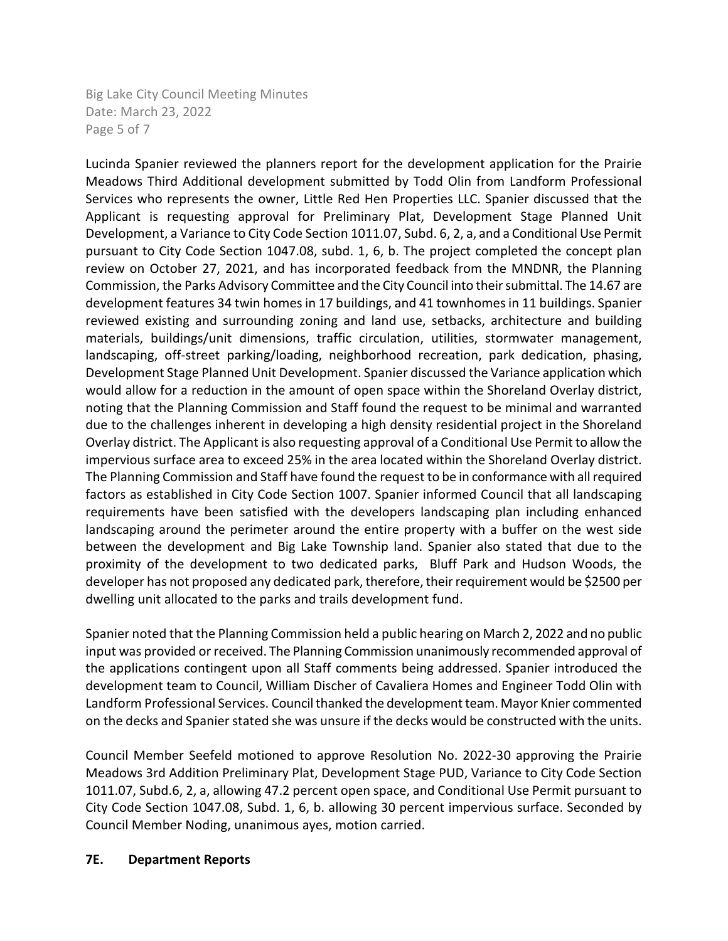Big Lake City Council Meeting Minutes Date: March 23, 2022 Page 5 of 7

Lucinda Spanier reviewed the planners report for the development application for the Prairie Meadows Third Additional development submitted by Todd Olin from Landform Professional Services who represents the owner, Little Red Hen Properties LLC. Spanier discussed that the Applicant is requesting approval for Preliminary Plat, Development Stage Planned Unit Development, a Variance to City Code Section 1011.07, Subd. 6, 2, a, and a Conditional Use Permit pursuant to City Code Section 1047.08, subd. 1, 6, b. The project completed the concept plan review on October 27, 2021, and has incorporated feedback from the MNDNR, the Planning Commission, the Parks Advisory Committee and the City Council into their submittal. The 14.67 are development features 34 twin homes in 17 buildings, and 41 townhomes in 11 buildings. Spanier reviewed existing and surrounding zoning and land use, setbacks, architecture and building materials, buildings/unit dimensions, traffic circulation, utilities, stormwater management, landscaping, off-street parking/loading, neighborhood recreation, park dedication, phasing, Development Stage Planned Unit Development. Spanier discussed the Variance application which would allow for a reduction in the amount of open space within the Shoreland Overlay district, noting that the Planning Commission and Staff found the request to be minimal and warranted due to the challenges inherent in developing a high density residential project in the Shoreland Overlay district. The Applicant is also requesting approval of a Conditional Use Permit to allow the impervious surface area to exceed 25% in the area located within the Shoreland Overlay district. The Planning Commission and Staff have found the request to be in conformance with all required factors as established in City Code Section 1007. Spanier informed Council that all landscaping requirements have been satisfied with the developers landscaping plan including enhanced landscaping around the perimeter around the entire property with a buffer on the west side between the development and Big Lake Township land. Spanier also stated that due to the proximity of the development to two dedicated parks, Bluff Park and Hudson Woods, the developer has not proposed any dedicated park, therefore, their requirement would be \$2500 per dwelling unit allocated to the parks and trails development fund.

Spanier noted that the Planning Commission held a public hearing on March 2, 2022 and no public input was provided or received. The Planning Commission unanimously recommended approval of the applications contingent upon all Staff comments being addressed. Spanier introduced the development team to Council, William Discher of Cavaliera Homes and Engineer Todd Olin with Landform Professional Services. Council thanked the development team. Mayor Knier commented on the decks and Spanier stated she was unsure if the decks would be constructed with the units.

Council Member Seefeld motioned to approve Resolution No. 2022-30 approving the Prairie Meadows 3rd Addition Preliminary Plat, Development Stage PUD, Variance to City Code Section 1011.07, Subd.6, 2, a, allowing 47.2 percent open space, and Conditional Use Permit pursuant to City Code Section 1047.08, Subd. 1, 6, b. allowing 30 percent impervious surface. Seconded by Council Member Noding, unanimous ayes, motion carried.

### **7E. Department Reports**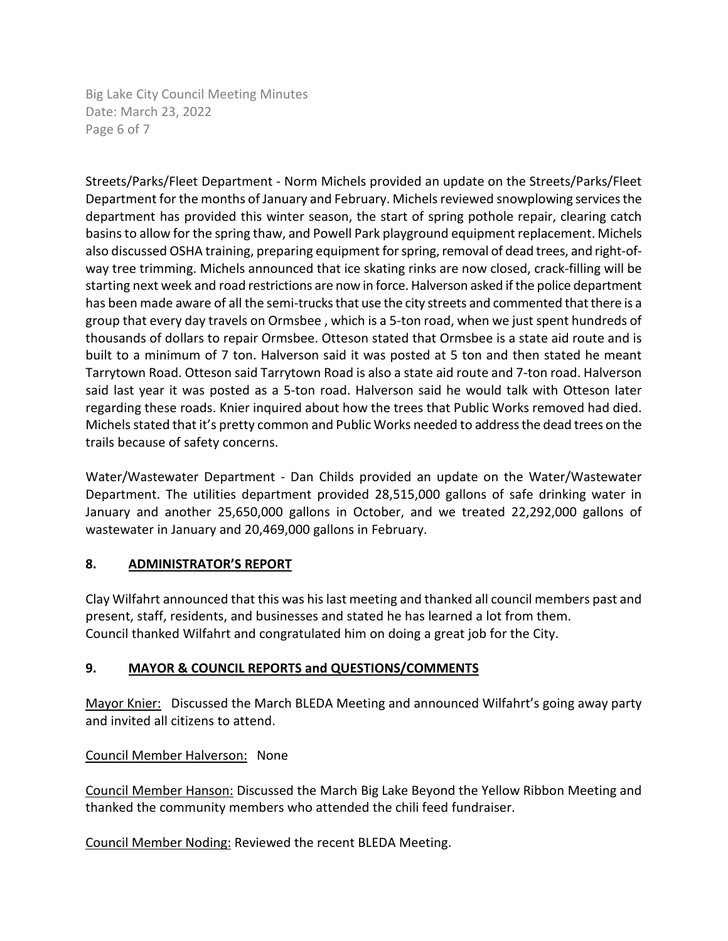Big Lake City Council Meeting Minutes Date: March 23, 2022 Page 6 of 7

Streets/Parks/Fleet Department - Norm Michels provided an update on the Streets/Parks/Fleet Department for the months of January and February. Michels reviewed snowplowing services the department has provided this winter season, the start of spring pothole repair, clearing catch basins to allow for the spring thaw, and Powell Park playground equipment replacement. Michels also discussed OSHA training, preparing equipment for spring, removal of dead trees, and right-ofway tree trimming. Michels announced that ice skating rinks are now closed, crack-filling will be starting next week and road restrictions are now in force. Halverson asked if the police department has been made aware of all the semi-trucks that use the city streets and commented that there is a group that every day travels on Ormsbee , which is a 5-ton road, when we just spent hundreds of thousands of dollars to repair Ormsbee. Otteson stated that Ormsbee is a state aid route and is built to a minimum of 7 ton. Halverson said it was posted at 5 ton and then stated he meant Tarrytown Road. Otteson said Tarrytown Road is also a state aid route and 7-ton road. Halverson said last year it was posted as a 5-ton road. Halverson said he would talk with Otteson later regarding these roads. Knier inquired about how the trees that Public Works removed had died. Michels stated that it's pretty common and Public Works needed to address the dead trees on the trails because of safety concerns.

Water/Wastewater Department - Dan Childs provided an update on the Water/Wastewater Department. The utilities department provided 28,515,000 gallons of safe drinking water in January and another 25,650,000 gallons in October, and we treated 22,292,000 gallons of wastewater in January and 20,469,000 gallons in February.

## **8. ADMINISTRATOR'S REPORT**

Clay Wilfahrt announced that this was his last meeting and thanked all council members past and present, staff, residents, and businesses and stated he has learned a lot from them. Council thanked Wilfahrt and congratulated him on doing a great job for the City.

## **9. MAYOR & COUNCIL REPORTS and QUESTIONS/COMMENTS**

Mayor Knier: Discussed the March BLEDA Meeting and announced Wilfahrt's going away party and invited all citizens to attend.

## Council Member Halverson: None

Council Member Hanson: Discussed the March Big Lake Beyond the Yellow Ribbon Meeting and thanked the community members who attended the chili feed fundraiser.

Council Member Noding: Reviewed the recent BLEDA Meeting.